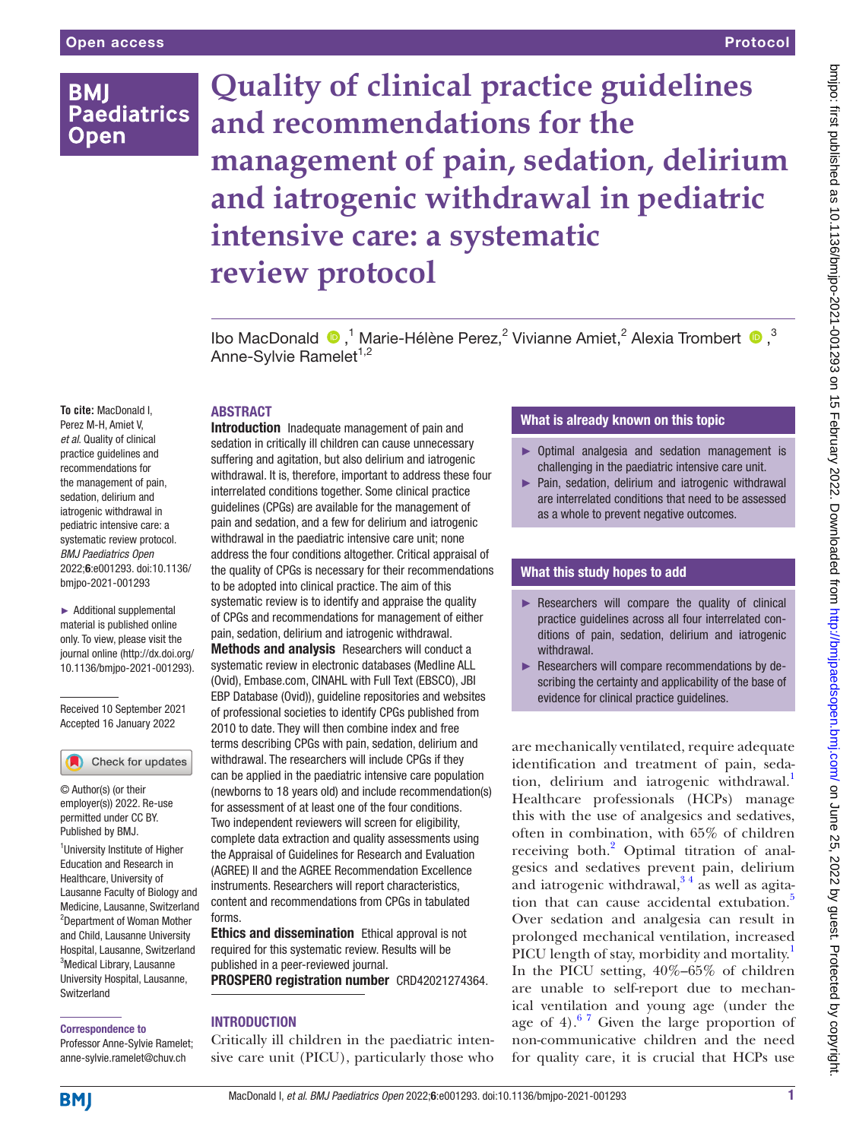# **BMI Paediatrics Open**

# **Quality of clinical practice guidelines and recommendations for the management of pain, sedation, delirium and iatrogenic withdrawal in pediatric intensive care: a systematic review protocol** Protocol

IboMacDonald  $\bullet$ ,<sup>1</sup> Marie-Hélène Perez,<sup>2</sup> Vivianne Amiet,<sup>2</sup> Alexia Trombert  $\bullet$ ,<sup>3</sup> Anne-Sylvie Ramelet<sup>1,2</sup>

#### **ABSTRACT**

**To cite:** MacDonald I, Perez M-H, Amiet V, *et al*. Quality of clinical practice guidelines and recommendations for the management of pain, sedation, delirium and iatrogenic withdrawal in pediatric intensive care: a systematic review protocol. *BMJ Paediatrics Open* 2022;6:e001293. doi:10.1136/ bmjpo-2021-001293

► Additional supplemental material is published online only. To view, please visit the journal online ([http://dx.doi.org/](http://dx.doi.org/10.1136/bmjpo-2021-001293) [10.1136/bmjpo-2021-001293\)](http://dx.doi.org/10.1136/bmjpo-2021-001293).

Received 10 September 2021 Accepted 16 January 2022

#### Check for updates

© Author(s) (or their employer(s)) 2022. Re-use permitted under CC BY. Published by BMJ.

<sup>1</sup>University Institute of Higher Education and Research in Healthcare, University of Lausanne Faculty of Biology and Medicine, Lausanne, Switzerland 2 Department of Woman Mother and Child, Lausanne University Hospital, Lausanne, Switzerland <sup>3</sup>Medical Library, Lausanne University Hospital, Lausanne, **Switzerland** 

#### Correspondence to

Professor Anne-Sylvie Ramelet; anne-sylvie.ramelet@chuv.ch

Introduction Inadequate management of pain and sedation in critically ill children can cause unnecessary suffering and agitation, but also delirium and iatrogenic withdrawal. It is, therefore, important to address these four interrelated conditions together. Some clinical practice guidelines (CPGs) are available for the management of pain and sedation, and a few for delirium and iatrogenic withdrawal in the paediatric intensive care unit; none address the four conditions altogether. Critical appraisal of the quality of CPGs is necessary for their recommendations to be adopted into clinical practice. The aim of this systematic review is to identify and appraise the quality of CPGs and recommendations for management of either pain, sedation, delirium and iatrogenic withdrawal.

Methods and analysis Researchers will conduct a systematic review in electronic databases (Medline ALL (Ovid), Embase.com, CINAHL with Full Text (EBSCO), JBI EBP Database (Ovid)), guideline repositories and websites of professional societies to identify CPGs published from 2010 to date. They will then combine index and free terms describing CPGs with pain, sedation, delirium and withdrawal. The researchers will include CPGs if they can be applied in the paediatric intensive care population (newborns to 18 years old) and include recommendation(s) for assessment of at least one of the four conditions. Two independent reviewers will screen for eligibility, complete data extraction and quality assessments using the Appraisal of Guidelines for Research and Evaluation (AGREE) II and the AGREE Recommendation Excellence instruments. Researchers will report characteristics, content and recommendations from CPGs in tabulated forms.

**Ethics and dissemination** Ethical approval is not required for this systematic review. Results will be published in a peer-reviewed journal. PROSPERO registration number CRD42021274364.

#### **INTRODUCTION**

Critically ill children in the paediatric intensive care unit (PICU), particularly those who

### What is already known on this topic

- ► Optimal analgesia and sedation management is challenging in the paediatric intensive care unit.
- ► Pain, sedation, delirium and iatrogenic withdrawal are interrelated conditions that need to be assessed as a whole to prevent negative outcomes.

#### What this study hopes to add

- $\blacktriangleright$  Researchers will compare the quality of clinical practice guidelines across all four interrelated conditions of pain, sedation, delirium and iatrogenic withdrawal.
- ► Researchers will compare recommendations by describing the certainty and applicability of the base of evidence for clinical practice guidelines.

are mechanically ventilated, require adequate identification and treatment of pain, sedation, delirium and iatrogenic withdrawal.<sup>1</sup> Healthcare professionals (HCPs) manage this with the use of analgesics and sedatives, often in combination, with 65% of children receiving both.<sup>2</sup> Optimal titration of analgesics and sedatives prevent pain, delirium and iatrogenic withdrawal,  $3<sup>4</sup>$  as well as agita-tion that can cause accidental extubation.<sup>[5](#page-5-1)</sup> Over sedation and analgesia can result in prolonged mechanical ventilation, increased PICU length of stay, morbidity and mortality.<sup>[1](#page-5-2)</sup> In the PICU setting, 40%–65% of children are unable to self-report due to mechanical ventilation and young age (under the age of 4). $67$  Given the large proportion of non-communicative children and the need for quality care, it is crucial that HCPs use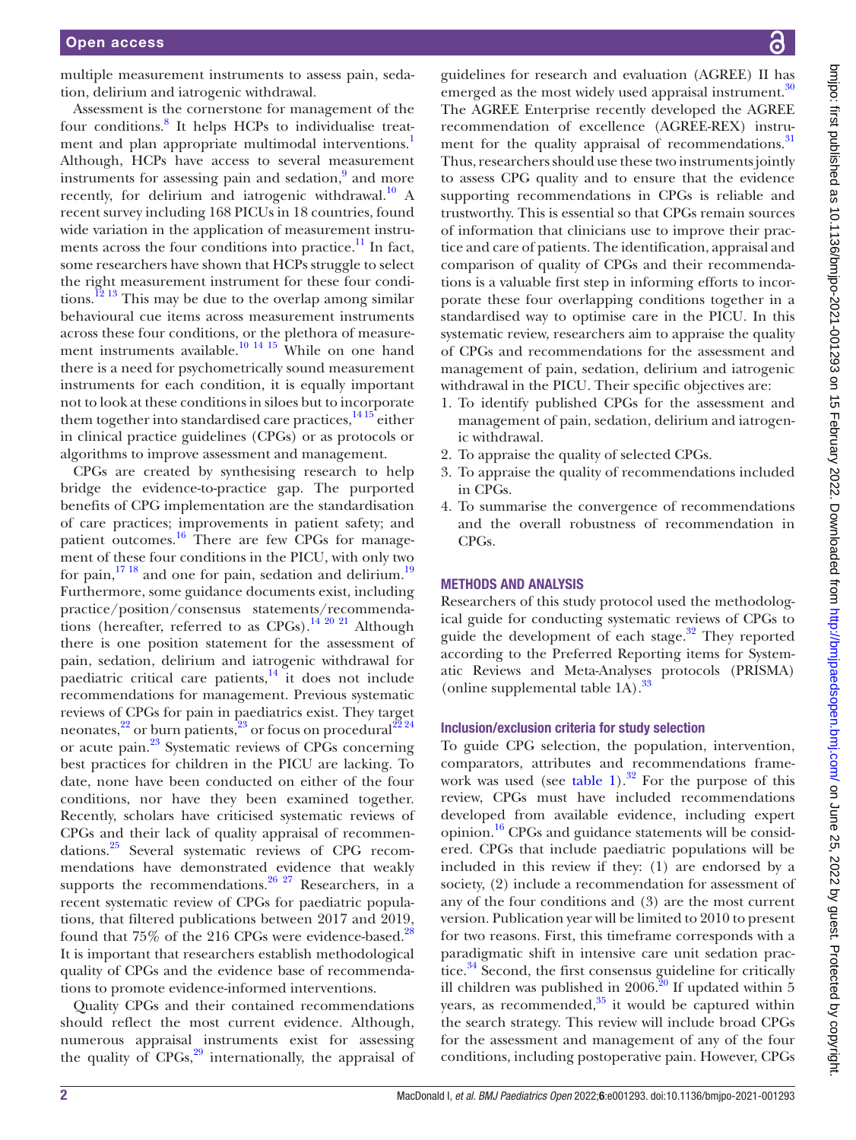multiple measurement instruments to assess pain, sedation, delirium and iatrogenic withdrawal.

Assessment is the cornerstone for management of the four conditions.<sup>[8](#page-5-4)</sup> It helps HCPs to individualise treat-ment and plan appropriate multimodal interventions.<sup>[1](#page-5-2)</sup> Although, HCPs have access to several measurement instruments for assessing pain and sedation,<sup>[9](#page-5-5)</sup> and more recently, for delirium and iatrogenic withdrawal.<sup>10</sup> A recent survey including 168 PICUs in 18 countries, found wide variation in the application of measurement instruments across the four conditions into practice.<sup>11</sup> In fact, some researchers have shown that HCPs struggle to select the right measurement instrument for these four conditions.<sup>12</sup><sup>13</sup> This may be due to the overlap among similar behavioural cue items across measurement instruments across these four conditions, or the plethora of measurement instruments available.<sup>10</sup> <sup>14 15</sup> While on one hand there is a need for psychometrically sound measurement instruments for each condition, it is equally important not to look at these conditions in siloes but to incorporate them together into standardised care practices,  $1415$  either in clinical practice guidelines (CPGs) or as protocols or algorithms to improve assessment and management.

CPGs are created by synthesising research to help bridge the evidence-to-practice gap. The purported benefits of CPG implementation are the standardisation of care practices; improvements in patient safety; and patient outcomes.<sup>[16](#page-5-10)</sup> There are few CPGs for management of these four conditions in the PICU, with only two for pain, $17^{18}$  and one for pain, sedation and delirium.<sup>19</sup> Furthermore, some guidance documents exist, including practice/position/consensus statements/recommendations (hereafter, referred to as CPGs).<sup>14 20 21</sup> Although there is one position statement for the assessment of pain, sedation, delirium and iatrogenic withdrawal for paediatric critical care patients, $14$  it does not include recommendations for management. Previous systematic reviews of CPGs for pain in paediatrics exist. They target neonates,<sup>22</sup> or burn patients,<sup>23</sup> or focus on procedural<sup>[22](#page-5-13) 24</sup> or acute pain[.23](#page-5-14) Systematic reviews of CPGs concerning best practices for children in the PICU are lacking. To date, none have been conducted on either of the four conditions, nor have they been examined together. Recently, scholars have criticised systematic reviews of CPGs and their lack of quality appraisal of recommendations[.25](#page-5-15) Several systematic reviews of CPG recommendations have demonstrated evidence that weakly supports the recommendations.<sup>26 27</sup> Researchers, in a recent systematic review of CPGs for paediatric populations, that filtered publications between 2017 and 2019, found that 75% of the 216 CPGs were evidence-based.<sup>[28](#page-5-17)</sup> It is important that researchers establish methodological quality of CPGs and the evidence base of recommendations to promote evidence-informed interventions.

Quality CPGs and their contained recommendations should reflect the most current evidence. Although, numerous appraisal instruments exist for assessing the quality of  $CPGs$ ,<sup>[29](#page-5-18)</sup> internationally, the appraisal of

guidelines for research and evaluation (AGREE) II has emerged as the most widely used appraisal instrument.<sup>30</sup> The AGREE Enterprise recently developed the AGREE recommendation of excellence (AGREE-REX) instrument for the quality appraisal of recommendations.<sup>31</sup> Thus, researchers should use these two instruments jointly to assess CPG quality and to ensure that the evidence supporting recommendations in CPGs is reliable and trustworthy. This is essential so that CPGs remain sources of information that clinicians use to improve their practice and care of patients. The identification, appraisal and comparison of quality of CPGs and their recommendations is a valuable first step in informing efforts to incorporate these four overlapping conditions together in a standardised way to optimise care in the PICU. In this systematic review, researchers aim to appraise the quality of CPGs and recommendations for the assessment and management of pain, sedation, delirium and iatrogenic withdrawal in the PICU. Their specific objectives are:

- 1. To identify published CPGs for the assessment and management of pain, sedation, delirium and iatrogenic withdrawal.
- 2. To appraise the quality of selected CPGs.
- 3. To appraise the quality of recommendations included in CPGs.
- 4. To summarise the convergence of recommendations and the overall robustness of recommendation in CPGs.

#### METHODS AND ANALYSIS

Researchers of this study protocol used the methodological guide for conducting systematic reviews of CPGs to guide the development of each stage. $32$  They reported according to the Preferred Reporting items for Systematic Reviews and Meta-Analyses protocols (PRISMA) [\(online supplemental table 1A\)](https://dx.doi.org/10.1136/bmjpo-2021-001293).<sup>[33](#page-5-22)</sup>

#### Inclusion/exclusion criteria for study selection

To guide CPG selection, the population, intervention, comparators, attributes and recommendations framework was used (see [table](#page-2-0) 1).<sup>32</sup> For the purpose of this review, CPGs must have included recommendations developed from available evidence, including expert opinion[.16](#page-5-10) CPGs and guidance statements will be considered. CPGs that include paediatric populations will be included in this review if they: (1) are endorsed by a society, (2) include a recommendation for assessment of any of the four conditions and (3) are the most current version. Publication year will be limited to 2010 to present for two reasons. First, this timeframe corresponds with a paradigmatic shift in intensive care unit sedation practice.<sup>34</sup> Second, the first consensus guideline for critically ill children was published in 2006.<sup>20</sup> If updated within 5 years, as recommended, $35$  it would be captured within the search strategy. This review will include broad CPGs for the assessment and management of any of the four conditions, including postoperative pain. However, CPGs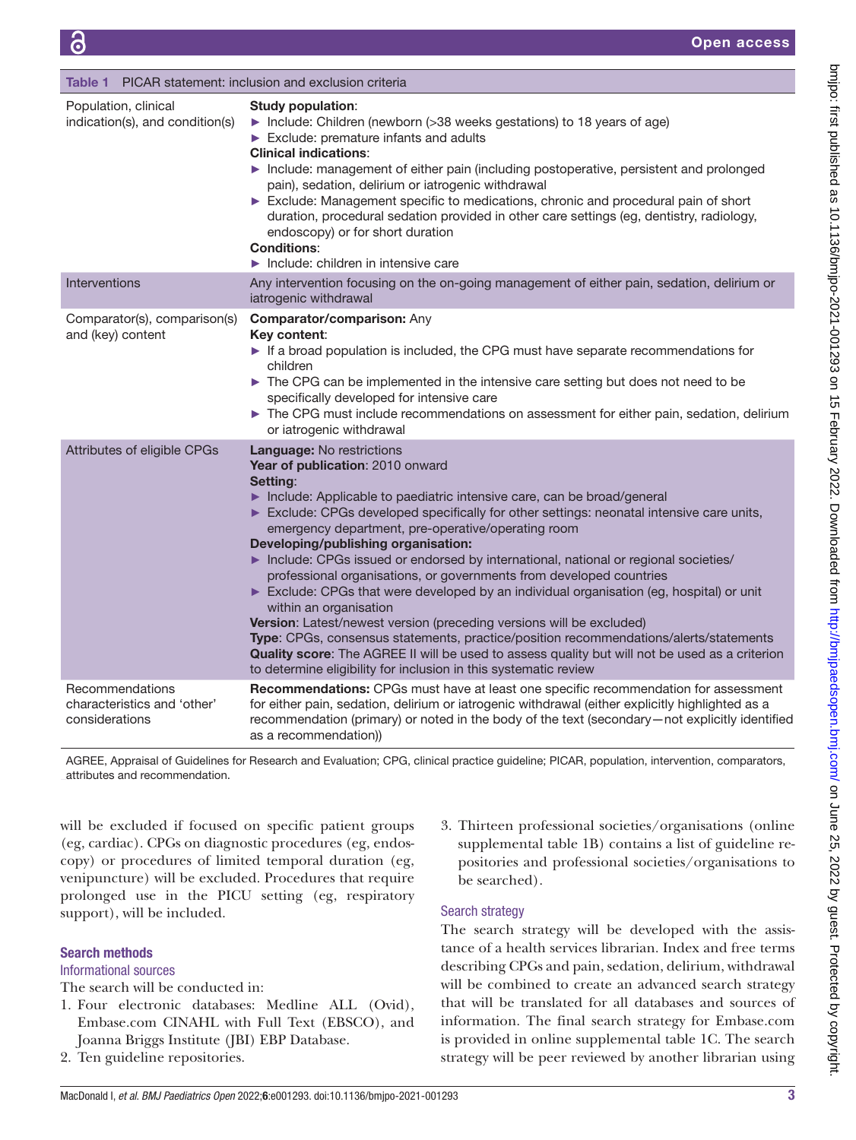<span id="page-2-0"></span>

| PICAR statement: inclusion and exclusion criteria<br>Table 1     |                                                                                                                                                                                                                                                                                                                                                                                                                                                                                                                                                                                                                                                                                                                                                                                                                                                                                                                                                                            |
|------------------------------------------------------------------|----------------------------------------------------------------------------------------------------------------------------------------------------------------------------------------------------------------------------------------------------------------------------------------------------------------------------------------------------------------------------------------------------------------------------------------------------------------------------------------------------------------------------------------------------------------------------------------------------------------------------------------------------------------------------------------------------------------------------------------------------------------------------------------------------------------------------------------------------------------------------------------------------------------------------------------------------------------------------|
| Population, clinical<br>indication(s), and condition(s)          | <b>Study population:</b><br>Include: Children (newborn (>38 weeks gestations) to 18 years of age)<br>Exclude: premature infants and adults<br><b>Clinical indications:</b><br>Include: management of either pain (including postoperative, persistent and prolonged<br>pain), sedation, delirium or iatrogenic withdrawal<br>Exclude: Management specific to medications, chronic and procedural pain of short<br>duration, procedural sedation provided in other care settings (eg, dentistry, radiology,<br>endoscopy) or for short duration<br><b>Conditions:</b><br>$\blacktriangleright$ Include: children in intensive care                                                                                                                                                                                                                                                                                                                                          |
| Interventions                                                    | Any intervention focusing on the on-going management of either pain, sedation, delirium or<br>iatrogenic withdrawal                                                                                                                                                                                                                                                                                                                                                                                                                                                                                                                                                                                                                                                                                                                                                                                                                                                        |
| Comparator(s), comparison(s)<br>and (key) content                | Comparator/comparison: Any<br>Key content:<br>If a broad population is included, the CPG must have separate recommendations for<br>children<br>The CPG can be implemented in the intensive care setting but does not need to be<br>specifically developed for intensive care<br>The CPG must include recommendations on assessment for either pain, sedation, delirium<br>or iatrogenic withdrawal                                                                                                                                                                                                                                                                                                                                                                                                                                                                                                                                                                         |
| Attributes of eligible CPGs                                      | <b>Language: No restrictions</b><br>Year of publication: 2010 onward<br>Setting:<br>Include: Applicable to paediatric intensive care, can be broad/general<br>Exclude: CPGs developed specifically for other settings: neonatal intensive care units,<br>emergency department, pre-operative/operating room<br>Developing/publishing organisation:<br>Include: CPGs issued or endorsed by international, national or regional societies/<br>professional organisations, or governments from developed countries<br>Exclude: CPGs that were developed by an individual organisation (eg, hospital) or unit<br>within an organisation<br>Version: Latest/newest version (preceding versions will be excluded)<br>Type: CPGs, consensus statements, practice/position recommendations/alerts/statements<br>Quality score: The AGREE II will be used to assess quality but will not be used as a criterion<br>to determine eligibility for inclusion in this systematic review |
| Recommendations<br>characteristics and 'other'<br>considerations | Recommendations: CPGs must have at least one specific recommendation for assessment<br>for either pain, sedation, delirium or iatrogenic withdrawal (either explicitly highlighted as a<br>recommendation (primary) or noted in the body of the text (secondary-not explicitly identified<br>as a recommendation)                                                                                                                                                                                                                                                                                                                                                                                                                                                                                                                                                                                                                                                          |

AGREE, Appraisal of Guidelines for Research and Evaluation; CPG, clinical practice guideline; PICAR, population, intervention, comparators, attributes and recommendation.

will be excluded if focused on specific patient groups (eg, cardiac). CPGs on diagnostic procedures (eg, endoscopy) or procedures of limited temporal duration (eg, venipuncture) will be excluded. Procedures that require prolonged use in the PICU setting (eg, respiratory support), will be included.

#### Search methods

### Informational sources

The search will be conducted in:

- 1. Four electronic databases: Medline ALL (Ovid), Embase.com CINAHL with Full Text (EBSCO), and Joanna Briggs Institute (JBI) EBP Database.
- 2. Ten guideline repositories.

3. Thirteen professional societies/organisations [\(online](https://dx.doi.org/10.1136/bmjpo-2021-001293) [supplemental table 1B\)](https://dx.doi.org/10.1136/bmjpo-2021-001293) contains a list of guideline repositories and professional societies/organisations to be searched).

#### Search strategy

The search strategy will be developed with the assistance of a health services librarian. Index and free terms describing CPGs and pain, sedation, delirium, withdrawal will be combined to create an advanced search strategy that will be translated for all databases and sources of information. The final search strategy for Embase.com is provided in [online supplemental table 1C](https://dx.doi.org/10.1136/bmjpo-2021-001293). The search strategy will be peer reviewed by another librarian using

bmipo: first published as 10.1136/bmipo-2021-001293 on 15 February 2022. Downloaded from http://bmipaedsopen.bmj.com/ on June 25, 2022 by guest. Protected by copyright. on June 25, 2022 by guest. Protected by copyright. <http://bmjpaedsopen.bmj.com/> bmjpo-1001293 on 15 February 25, 2022. Dy guest. Protected by copyright.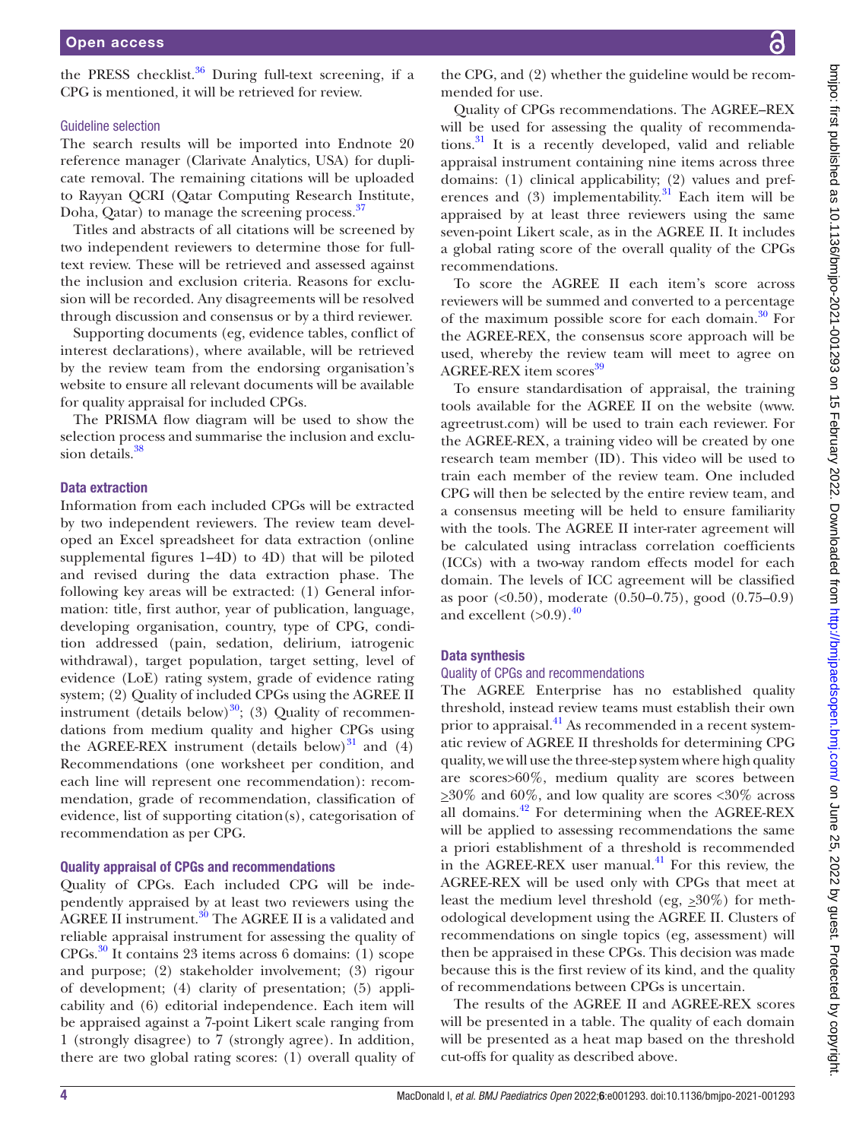the PRESS checklist.<sup>36</sup> During full-text screening, if a CPG is mentioned, it will be retrieved for review.

#### Guideline selection

The search results will be imported into Endnote 20 reference manager (Clarivate Analytics, USA) for duplicate removal. The remaining citations will be uploaded to Rayyan QCRI (Qatar Computing Research Institute, Doha, Qatar) to manage the screening process.<sup>[37](#page-5-27)</sup>

Titles and abstracts of all citations will be screened by two independent reviewers to determine those for fulltext review. These will be retrieved and assessed against the inclusion and exclusion criteria. Reasons for exclusion will be recorded. Any disagreements will be resolved through discussion and consensus or by a third reviewer.

Supporting documents (eg, evidence tables, conflict of interest declarations), where available, will be retrieved by the review team from the endorsing organisation's website to ensure all relevant documents will be available for quality appraisal for included CPGs.

The PRISMA flow diagram will be used to show the selection process and summarise the inclusion and exclusion details.<sup>38</sup>

#### Data extraction

Information from each included CPGs will be extracted by two independent reviewers. The review team developed an Excel spreadsheet for data extraction [\(online](https://dx.doi.org/10.1136/bmjpo-2021-001293) [supplemental figures 1–4D](https://dx.doi.org/10.1136/bmjpo-2021-001293)) to 4D) that will be piloted and revised during the data extraction phase. The following key areas will be extracted: (1) General information: title, first author, year of publication, language, developing organisation, country, type of CPG, condition addressed (pain, sedation, delirium, iatrogenic withdrawal), target population, target setting, level of evidence (LoE) rating system, grade of evidence rating system; (2) Quality of included CPGs using the AGREE II instrument (details below) $^{30}$ ; (3) Quality of recommendations from medium quality and higher CPGs using the AGREE-REX instrument (details below) $31$  and (4) Recommendations (one worksheet per condition, and each line will represent one recommendation): recommendation, grade of recommendation, classification of evidence, list of supporting citation(s), categorisation of recommendation as per CPG.

#### Quality appraisal of CPGs and recommendations

Quality of CPGs. Each included CPG will be independently appraised by at least two reviewers using the AGREE II instrument.[30](#page-5-19) The AGREE II is a validated and reliable appraisal instrument for assessing the quality of  $CPGs$ <sup>[30](#page-5-19)</sup> It contains 23 items across 6 domains: (1) scope and purpose; (2) stakeholder involvement; (3) rigour of development; (4) clarity of presentation; (5) applicability and (6) editorial independence. Each item will be appraised against a 7-point Likert scale ranging from 1 (strongly disagree) to 7 (strongly agree). In addition, there are two global rating scores: (1) overall quality of

Quality of CPGs recommendations. The AGREE–REX will be used for assessing the quality of recommendations. $31$  It is a recently developed, valid and reliable appraisal instrument containing nine items across three domains: (1) clinical applicability; (2) values and preferences and  $(3)$  implementability.<sup>31</sup> Each item will be appraised by at least three reviewers using the same seven-point Likert scale, as in the AGREE II. It includes a global rating score of the overall quality of the CPGs recommendations.

To score the AGREE II each item's score across reviewers will be summed and converted to a percentage of the maximum possible score for each domain. $30$  For the AGREE-REX, the consensus score approach will be used, whereby the review team will meet to agree on AGREE-REX item scores<sup>[39](#page-5-29)</sup>

To ensure standardisation of appraisal, the training tools available for the AGREE II on the website [\(www.](www.agreetrust.com) [agreetrust.com](www.agreetrust.com)) will be used to train each reviewer. For the AGREE-REX, a training video will be created by one research team member (ID). This video will be used to train each member of the review team. One included CPG will then be selected by the entire review team, and a consensus meeting will be held to ensure familiarity with the tools. The AGREE II inter-rater agreement will be calculated using intraclass correlation coefficients (ICCs) with a two-way random effects model for each domain. The levels of ICC agreement will be classified as poor (<0.50), moderate (0.50–0.75), good (0.75–0.9) and excellent  $(>0.9)$ .<sup>[40](#page-5-30)</sup>

#### Data synthesis

#### Quality of CPGs and recommendations

The AGREE Enterprise has no established quality threshold, instead review teams must establish their own prior to appraisal.<sup>41</sup> As recommended in a recent systematic review of AGREE II thresholds for determining CPG quality, we will use the three-step system where high quality are scores>60%, medium quality are scores between  $\geq 30\%$  and 60%, and low quality are scores <30% across all domains. $42$  For determining when the AGREE-REX will be applied to assessing recommendations the same a priori establishment of a threshold is recommended in the AGREE-REX user manual. $^{41}$  For this review, the AGREE-REX will be used only with CPGs that meet at least the medium level threshold (eg, *>*30%) for methodological development using the AGREE II. Clusters of recommendations on single topics (eg, assessment) will then be appraised in these CPGs. This decision was made because this is the first review of its kind, and the quality of recommendations between CPGs is uncertain.

The results of the AGREE II and AGREE-REX scores will be presented in a table. The quality of each domain will be presented as a heat map based on the threshold cut-offs for quality as described above.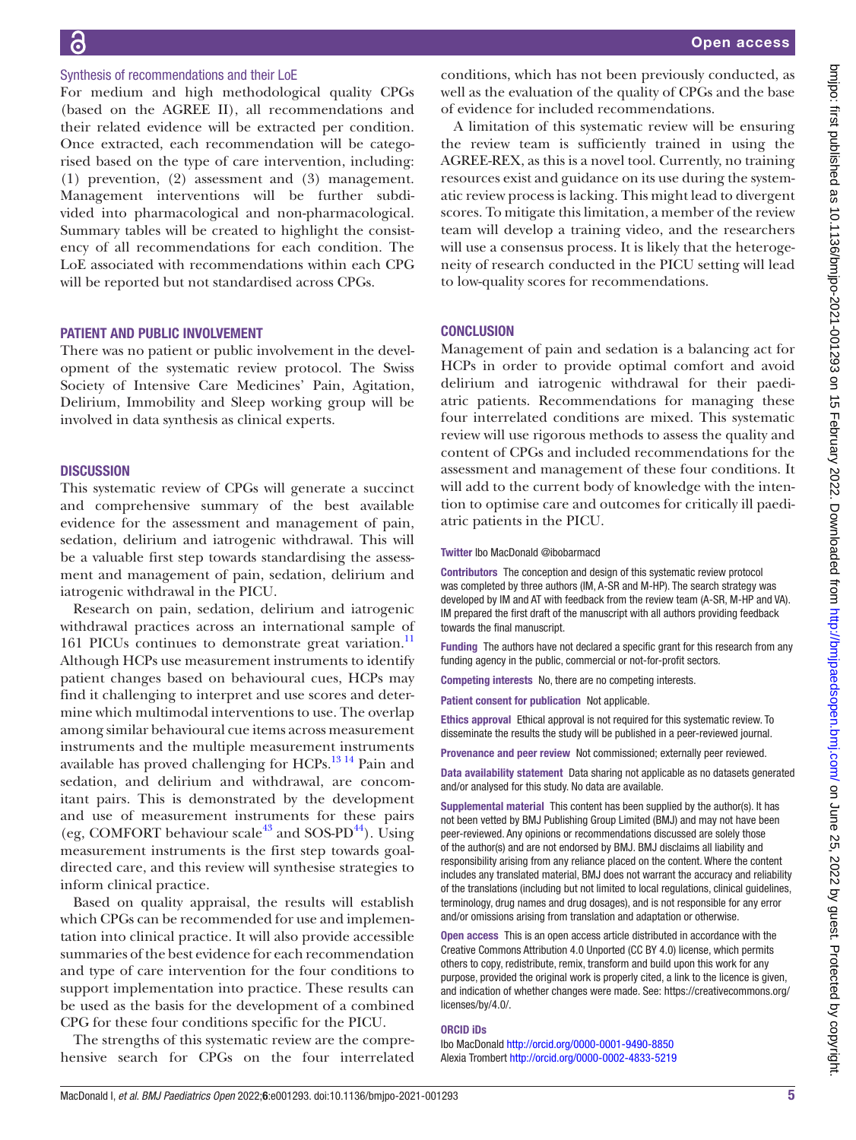## conditions, which has not been previously conducted, as well as the evaluation of the quality of CPGs and the base of evidence for included recommendations. A limitation of this systematic review will be ensuring the review team is sufficiently trained in using the AGREE-REX, as this is a novel tool. Currently, no training resources exist and guidance on its use during the systematic review process is lacking. This might lead to divergent scores. To mitigate this limitation, a member of the review team will develop a training video, and the researchers will use a consensus process. It is likely that the heterogeneity of research conducted in the PICU setting will lead to low-quality scores for recommendations. **CONCLUSION** Management of pain and sedation is a balancing act for HCPs in order to provide optimal comfort and avoid delirium and iatrogenic withdrawal for their paediatric patients. Recommendations for managing these four interrelated conditions are mixed. This systematic review will use rigorous methods to assess the quality and content of CPGs and included recommendations for the assessment and management of these four conditions. It will add to the current body of knowledge with the intention to optimise care and outcomes for critically ill paediatric patients in the PICU.

Twitter Ibo MacDonald [@ibobarmacd](https://twitter.com/ibobarmacd)

Contributors The conception and design of this systematic review protocol was completed by three authors (IM, A-SR and M-HP). The search strategy was developed by IM and AT with feedback from the review team (A-SR, M-HP and VA). IM prepared the first draft of the manuscript with all authors providing feedback towards the final manuscript.

Funding The authors have not declared a specific grant for this research from any funding agency in the public, commercial or not-for-profit sectors.

Competing interests No, there are no competing interests.

Patient consent for publication Not applicable.

Ethics approval Ethical approval is not required for this systematic review. To disseminate the results the study will be published in a peer-reviewed journal.

Provenance and peer review Not commissioned; externally peer reviewed.

Data availability statement Data sharing not applicable as no datasets generated and/or analysed for this study. No data are available.

Supplemental material This content has been supplied by the author(s). It has not been vetted by BMJ Publishing Group Limited (BMJ) and may not have been peer-reviewed. Any opinions or recommendations discussed are solely those of the author(s) and are not endorsed by BMJ. BMJ disclaims all liability and responsibility arising from any reliance placed on the content. Where the content includes any translated material, BMJ does not warrant the accuracy and reliability of the translations (including but not limited to local regulations, clinical guidelines, terminology, drug names and drug dosages), and is not responsible for any error and/or omissions arising from translation and adaptation or otherwise.

Open access This is an open access article distributed in accordance with the Creative Commons Attribution 4.0 Unported (CC BY 4.0) license, which permits others to copy, redistribute, remix, transform and build upon this work for any purpose, provided the original work is properly cited, a link to the licence is given, and indication of whether changes were made. See: [https://creativecommons.org/](https://creativecommons.org/licenses/by/4.0/) [licenses/by/4.0/](https://creativecommons.org/licenses/by/4.0/).

#### ORCID iDs

Ibo MacDonald <http://orcid.org/0000-0001-9490-8850> Alexia Trombert <http://orcid.org/0000-0002-4833-5219>

Synthesis of recommendations and their LoE

For medium and high methodological quality CPGs (based on the AGREE II), all recommendations and their related evidence will be extracted per condition. Once extracted, each recommendation will be categorised based on the type of care intervention, including: (1) prevention, (2) assessment and (3) management. Management interventions will be further subdivided into pharmacological and non-pharmacological. Summary tables will be created to highlight the consistency of all recommendations for each condition. The LoE associated with recommendations within each CPG will be reported but not standardised across CPGs.

#### PATIENT AND PUBLIC INVOLVEMENT

There was no patient or public involvement in the development of the systematic review protocol. The Swiss Society of Intensive Care Medicines' Pain, Agitation, Delirium, Immobility and Sleep working group will be involved in data synthesis as clinical experts.

#### **DISCUSSION**

This systematic review of CPGs will generate a succinct and comprehensive summary of the best available evidence for the assessment and management of pain, sedation, delirium and iatrogenic withdrawal. This will be a valuable first step towards standardising the assessment and management of pain, sedation, delirium and iatrogenic withdrawal in the PICU.

Research on pain, sedation, delirium and iatrogenic withdrawal practices across an international sample of 161 PICUs continues to demonstrate great variation.<sup>11</sup> Although HCPs use measurement instruments to identify patient changes based on behavioural cues, HCPs may find it challenging to interpret and use scores and determine which multimodal interventions to use. The overlap among similar behavioural cue items across measurement instruments and the multiple measurement instruments available has proved challenging for HCPs.<sup>[13 14](#page-5-33)</sup> Pain and sedation, and delirium and withdrawal, are concomitant pairs. This is demonstrated by the development and use of measurement instruments for these pairs (eg, COMFORT behaviour scale $43$  and SOS-PD $44$ ). Using measurement instruments is the first step towards goaldirected care, and this review will synthesise strategies to inform clinical practice.

Based on quality appraisal, the results will establish which CPGs can be recommended for use and implementation into clinical practice. It will also provide accessible summaries of the best evidence for each recommendation and type of care intervention for the four conditions to support implementation into practice. These results can be used as the basis for the development of a combined CPG for these four conditions specific for the PICU.

The strengths of this systematic review are the comprehensive search for CPGs on the four interrelated